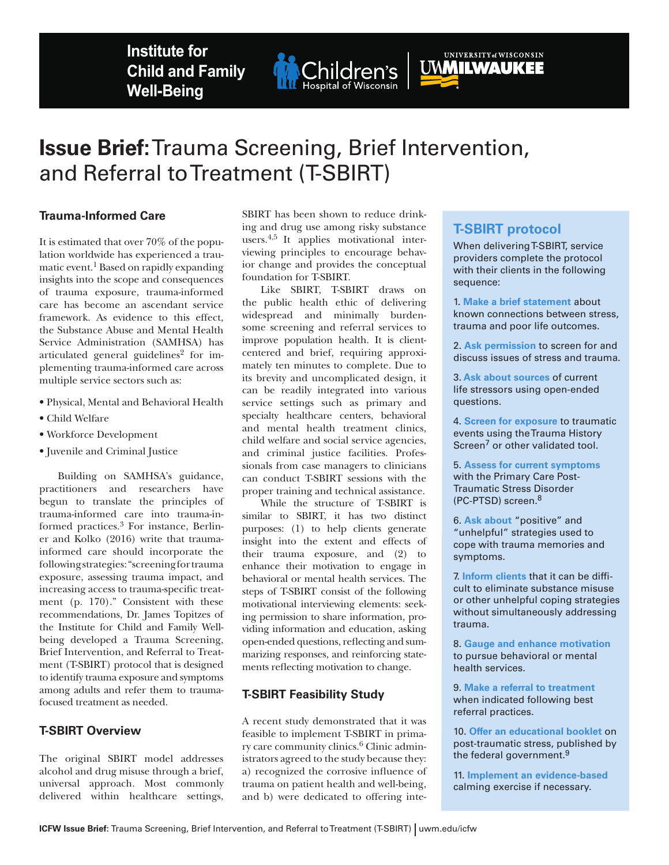**Institute for Child and Family Well-Being**



# **Issue Brief:** Trauma Screening, Brief Intervention, and Referral to Treatment (T-SBIRT)

## **Trauma-Informed Care**

It is estimated that over 70% of the population worldwide has experienced a traumatic event.1 Based on rapidly expanding insights into the scope and consequences of trauma exposure, trauma-informed care has become an ascendant service framework. As evidence to this effect, the Substance Abuse and Mental Health Service Administration (SAMHSA) has articulated general guidelines<sup>2</sup> for implementing trauma-informed care across multiple service sectors such as:

- Physical, Mental and Behavioral Health
- Child Welfare
- Workforce Development
- Juvenile and Criminal Justice

Building on SAMHSA's guidance, practitioners and researchers have begun to translate the principles of trauma-informed care into trauma-informed practices.3 For instance, Berliner and Kolko (2016) write that traumainformed care should incorporate the following strategies: "screening for trauma exposure, assessing trauma impact, and increasing access to trauma-specific treatment (p. 170)." Consistent with these recommendations, Dr. James Topitzes of the Institute for Child and Family Wellbeing developed a Trauma Screening, Brief Intervention, and Referral to Treatment (T-SBIRT) protocol that is designed to identify trauma exposure and symptoms among adults and refer them to traumafocused treatment as needed.

#### **T-SBIRT Overview**

The original SBIRT model addresses alcohol and drug misuse through a brief, universal approach. Most commonly delivered within healthcare settings,

SBIRT has been shown to reduce drinking and drug use among risky substance users.4,5 It applies motivational interviewing principles to encourage behavior change and provides the conceptual foundation for T-SBIRT.

Like SBIRT, T-SBIRT draws on the public health ethic of delivering widespread and minimally burdensome screening and referral services to improve population health. It is clientcentered and brief, requiring approximately ten minutes to complete. Due to its brevity and uncomplicated design, it can be readily integrated into various service settings such as primary and specialty healthcare centers, behavioral and mental health treatment clinics, child welfare and social service agencies, and criminal justice facilities. Professionals from case managers to clinicians can conduct T-SBIRT sessions with the proper training and technical assistance.

While the structure of T-SBIRT is similar to SBIRT, it has two distinct purposes: (1) to help clients generate insight into the extent and effects of their trauma exposure, and (2) to enhance their motivation to engage in behavioral or mental health services. The steps of T-SBIRT consist of the following motivational interviewing elements: seeking permission to share information, providing information and education, asking open-ended questions, reflecting and summarizing responses, and reinforcing statements reflecting motivation to change.

# **T-SBIRT Feasibility Study**

A recent study demonstrated that it was feasible to implement T-SBIRT in primary care community clinics.6 Clinic administrators agreed to the study because they: a) recognized the corrosive influence of trauma on patient health and well-being, and b) were dedicated to offering inte-

# **T-SBIRT protocol**

UNMILWAUKEE

When delivering T-SBIRT, service providers complete the protocol with their clients in the following sequence:

1. **Make a brief statement** about known connections between stress, trauma and poor life outcomes.

2. **Ask permission** to screen for and discuss issues of stress and trauma.

3. **Ask about sources** of current life stressors using open-ended questions.

4. **Screen for exposure** to traumatic events using the Trauma History Screen<sup>7</sup> or other validated tool.

5. **Assess for current symptoms** with the Primary Care Post-Traumatic Stress Disorder (PC-PTSD) screen.8

6. **Ask about** "positive" and "unhelpful" strategies used to cope with trauma memories and symptoms.

7. **Inform clients** that it can be difficult to eliminate substance misuse or other unhelpful coping strategies without simultaneously addressing trauma.

8. **Gauge and enhance motivation** to pursue behavioral or mental health services.

9. **Make a referral to treatment**  when indicated following best referral practices.

10. **Offer an educational booklet** on post-traumatic stress, published by the federal government.<sup>9</sup>

11. **Implement an evidence-based** calming exercise if necessary.